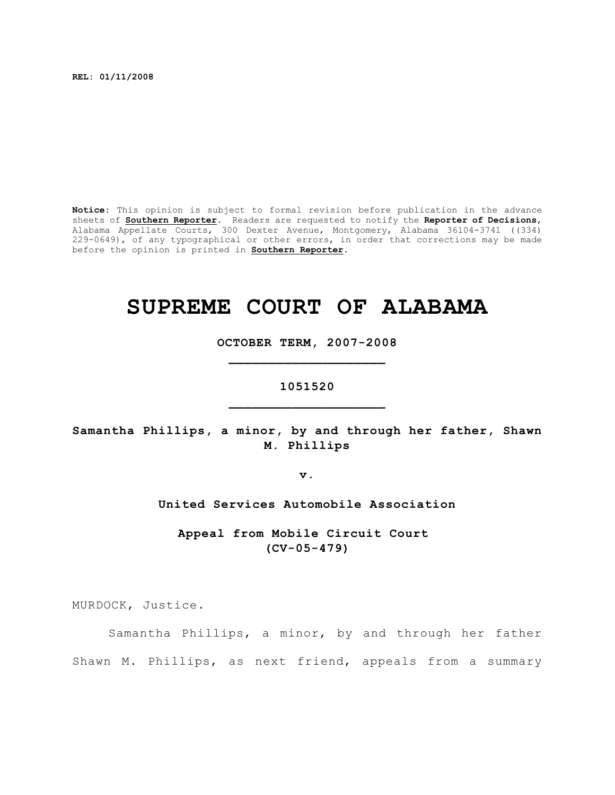**REL: 01/11/2008**

**Notice:** This opinion is subject to formal revision before publication in the advance sheets of **Southern Reporter**. Readers are requested to notify the **Reporter of Decisions**, Alabama Appellate Courts, 300 Dexter Avenue, Montgomery, Alabama 36104-3741 ((334) 229-0649), of any typographical or other errors, in order that corrections may be made before the opinion is printed in **Southern Reporter**.

# **SUPREME COURT OF ALABAMA**

**OCTOBER TERM, 2007-2008 \_\_\_\_\_\_\_\_\_\_\_\_\_\_\_\_\_\_\_\_**

# **1051520 \_\_\_\_\_\_\_\_\_\_\_\_\_\_\_\_\_\_\_\_**

**Samantha Phillips, a minor, by and through her father, Shawn M. Phillips**

**v.**

**United Services Automobile Association**

**Appeal from Mobile Circuit Court (CV-05-479)**

MURDOCK, Justice.

Samantha Phillips, a minor, by and through her father Shawn M. Phillips, as next friend, appeals from a summary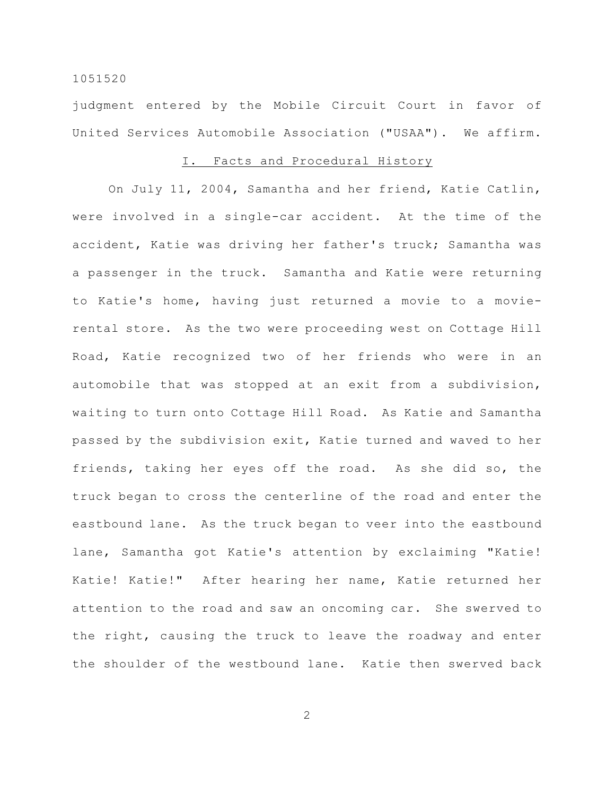judgment entered by the Mobile Circuit Court in favor of United Services Automobile Association ("USAA"). We affirm.

# I. Facts and Procedural History

On July 11, 2004, Samantha and her friend, Katie Catlin, were involved in a single-car accident. At the time of the accident, Katie was driving her father's truck; Samantha was a passenger in the truck. Samantha and Katie were returning to Katie's home, having just returned a movie to a movierental store. As the two were proceeding west on Cottage Hill Road, Katie recognized two of her friends who were in an automobile that was stopped at an exit from a subdivision, waiting to turn onto Cottage Hill Road. As Katie and Samantha passed by the subdivision exit, Katie turned and waved to her friends, taking her eyes off the road. As she did so, the truck began to cross the centerline of the road and enter the eastbound lane. As the truck began to veer into the eastbound lane, Samantha got Katie's attention by exclaiming "Katie! Katie! Katie!" After hearing her name, Katie returned her attention to the road and saw an oncoming car. She swerved to the right, causing the truck to leave the roadway and enter the shoulder of the westbound lane. Katie then swerved back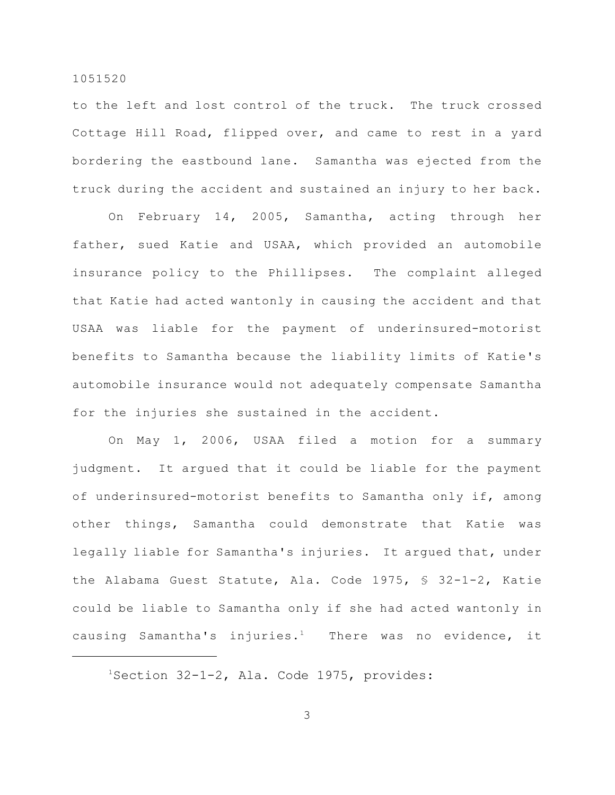to the left and lost control of the truck. The truck crossed Cottage Hill Road, flipped over, and came to rest in a yard bordering the eastbound lane. Samantha was ejected from the truck during the accident and sustained an injury to her back.

On February 14, 2005, Samantha, acting through her father, sued Katie and USAA, which provided an automobile insurance policy to the Phillipses. The complaint alleged that Katie had acted wantonly in causing the accident and that USAA was liable for the payment of underinsured-motorist benefits to Samantha because the liability limits of Katie's automobile insurance would not adequately compensate Samantha for the injuries she sustained in the accident.

On May 1, 2006, USAA filed a motion for a summary judgment. It argued that it could be liable for the payment of underinsured-motorist benefits to Samantha only if, among other things, Samantha could demonstrate that Katie was legally liable for Samantha's injuries. It argued that, under the Alabama Guest Statute, Ala. Code 1975, § 32-1-2, Katie could be liable to Samantha only if she had acted wantonly in causing Samantha's injuries.<sup>1</sup> There was no evidence, it

 $1$ Section 32-1-2, Ala. Code 1975, provides: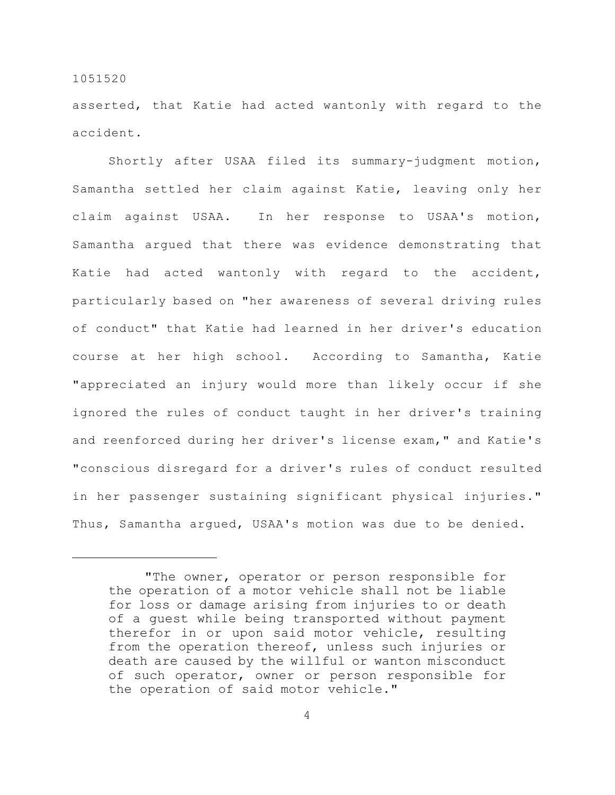asserted, that Katie had acted wantonly with regard to the accident.

Shortly after USAA filed its summary-judgment motion, Samantha settled her claim against Katie, leaving only her claim against USAA. In her response to USAA's motion, Samantha argued that there was evidence demonstrating that Katie had acted wantonly with regard to the accident, particularly based on "her awareness of several driving rules of conduct" that Katie had learned in her driver's education course at her high school. According to Samantha, Katie "appreciated an injury would more than likely occur if she ignored the rules of conduct taught in her driver's training and reenforced during her driver's license exam," and Katie's "conscious disregard for a driver's rules of conduct resulted in her passenger sustaining significant physical injuries." Thus, Samantha argued, USAA's motion was due to be denied.

<sup>&</sup>quot;The owner, operator or person responsible for the operation of a motor vehicle shall not be liable for loss or damage arising from injuries to or death of a guest while being transported without payment therefor in or upon said motor vehicle, resulting from the operation thereof, unless such injuries or death are caused by the willful or wanton misconduct of such operator, owner or person responsible for the operation of said motor vehicle."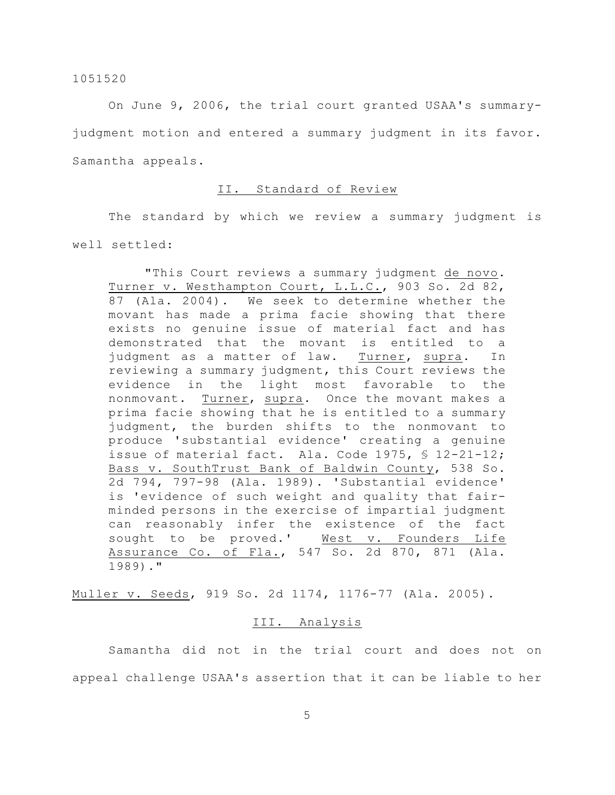On June 9, 2006, the trial court granted USAA's summaryjudgment motion and entered a summary judgment in its favor. Samantha appeals.

# II. Standard of Review

The standard by which we review a summary judgment is well settled:

"This Court reviews a summary judgment de novo. Turner v. Westhampton Court, L.L.C., 903 So. 2d 82, 87 (Ala. 2004). We seek to determine whether the movant has made a prima facie showing that there exists no genuine issue of material fact and has demonstrated that the movant is entitled to a judgment as a matter of law. Turner, supra. In reviewing a summary judgment, this Court reviews the evidence in the light most favorable to the nonmovant. Turner, supra. Once the movant makes a prima facie showing that he is entitled to a summary judgment, the burden shifts to the nonmovant to produce 'substantial evidence' creating a genuine issue of material fact. Ala. Code 1975, § 12-21-12; Bass v. SouthTrust Bank of Baldwin County, 538 So. 2d 794, 797-98 (Ala. 1989). 'Substantial evidence' is 'evidence of such weight and quality that fairminded persons in the exercise of impartial judgment can reasonably infer the existence of the fact sought to be proved.' West v. Founders Life Assurance Co. of Fla., 547 So. 2d 870, 871 (Ala. 1989)."

Muller v. Seeds, 919 So. 2d 1174, 1176-77 (Ala. 2005).

# III. Analysis

Samantha did not in the trial court and does not on appeal challenge USAA's assertion that it can be liable to her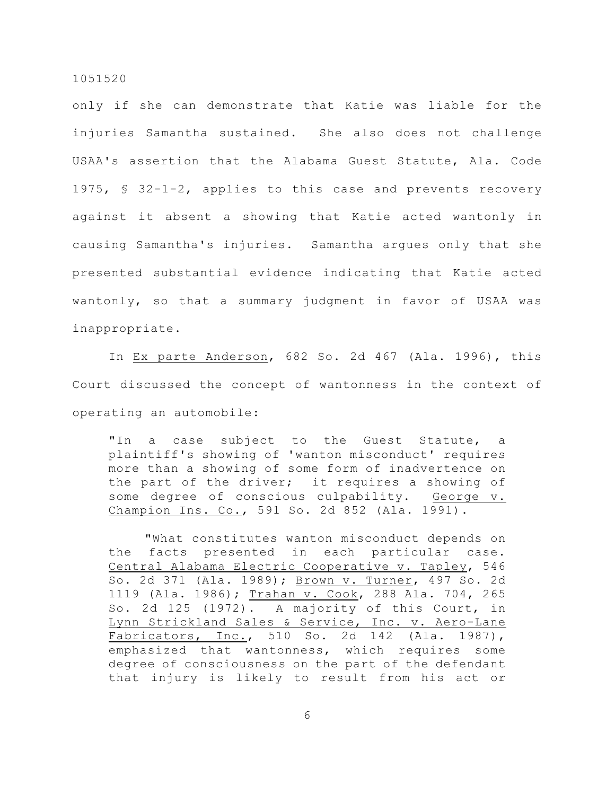only if she can demonstrate that Katie was liable for the injuries Samantha sustained. She also does not challenge USAA's assertion that the Alabama Guest Statute, Ala. Code 1975, § 32-1-2, applies to this case and prevents recovery against it absent a showing that Katie acted wantonly in causing Samantha's injuries. Samantha argues only that she presented substantial evidence indicating that Katie acted wantonly, so that a summary judgment in favor of USAA was inappropriate.

In Ex parte Anderson, 682 So. 2d 467 (Ala. 1996), this Court discussed the concept of wantonness in the context of operating an automobile:

"In a case subject to the Guest Statute, a plaintiff's showing of 'wanton misconduct' requires more than a showing of some form of inadvertence on the part of the driver; it requires a showing of some degree of conscious culpability. George v. Champion Ins. Co., 591 So. 2d 852 (Ala. 1991).

"What constitutes wanton misconduct depends on the facts presented in each particular case. Central Alabama Electric Cooperative v. Tapley, 546 So. 2d 371 (Ala. 1989); Brown v. Turner, 497 So. 2d 1119 (Ala. 1986); Trahan v. Cook, 288 Ala. 704, 265 So. 2d 125 (1972). A majority of this Court, in Lynn Strickland Sales & Service, Inc. v. Aero-Lane Fabricators, Inc., 510 So. 2d 142 (Ala. 1987), emphasized that wantonness, which requires some degree of consciousness on the part of the defendant that injury is likely to result from his act or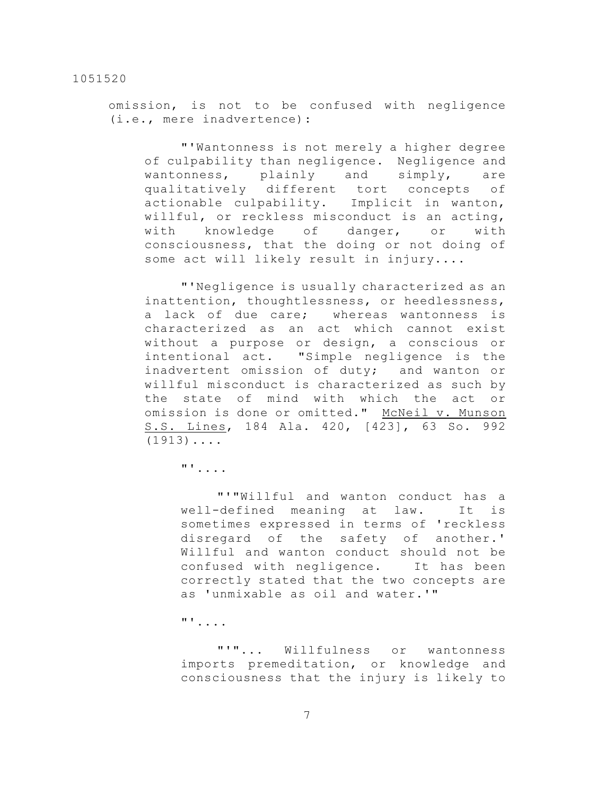omission, is not to be confused with negligence (i.e., mere inadvertence):

"'Wantonness is not merely a higher degree of culpability than negligence. Negligence and wantonness, plainly and simply, are qualitatively different tort concepts of actionable culpability. Implicit in wanton, willful, or reckless misconduct is an acting, with knowledge of danger, or with consciousness, that the doing or not doing of some act will likely result in injury....

"'Negligence is usually characterized as an inattention, thoughtlessness, or heedlessness, a lack of due care; whereas wantonness is characterized as an act which cannot exist without a purpose or design, a conscious or intentional act. "Simple negligence is the inadvertent omission of duty; and wanton or willful misconduct is characterized as such by the state of mind with which the act or omission is done or omitted." McNeil v. Munson S.S. Lines, 184 Ala. 420, [423], 63 So. 992  $(1913)$ ....

"'....

"'"Willful and wanton conduct has a well-defined meaning at law. It is sometimes expressed in terms of 'reckless disregard of the safety of another.' Willful and wanton conduct should not be confused with negligence. It has been correctly stated that the two concepts are as 'unmixable as oil and water.'"

"'....

"'"... Willfulness or wantonness imports premeditation, or knowledge and consciousness that the injury is likely to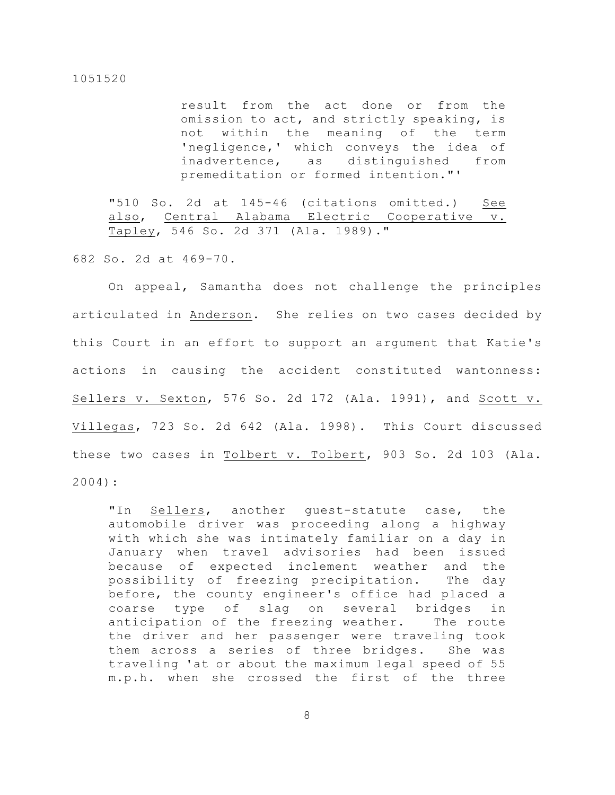result from the act done or from the omission to act, and strictly speaking, is not within the meaning of the term 'negligence,' which conveys the idea of inadvertence, as distinguished from premeditation or formed intention."'

"510 So. 2d at 145-46 (citations omitted.) See also, Central Alabama Electric Cooperative v. Tapley, 546 So. 2d 371 (Ala. 1989)."

682 So. 2d at 469-70.

On appeal, Samantha does not challenge the principles articulated in Anderson. She relies on two cases decided by this Court in an effort to support an argument that Katie's actions in causing the accident constituted wantonness: Sellers v. Sexton, 576 So. 2d 172 (Ala. 1991), and Scott v. Villegas, 723 So. 2d 642 (Ala. 1998). This Court discussed these two cases in Tolbert v. Tolbert, 903 So. 2d 103 (Ala. 2004):

"In Sellers, another guest-statute case, the automobile driver was proceeding along a highway with which she was intimately familiar on a day in January when travel advisories had been issued because of expected inclement weather and the possibility of freezing precipitation. The day before, the county engineer's office had placed a coarse type of slag on several bridges in anticipation of the freezing weather. The route the driver and her passenger were traveling took them across a series of three bridges. She was traveling 'at or about the maximum legal speed of 55 m.p.h. when she crossed the first of the three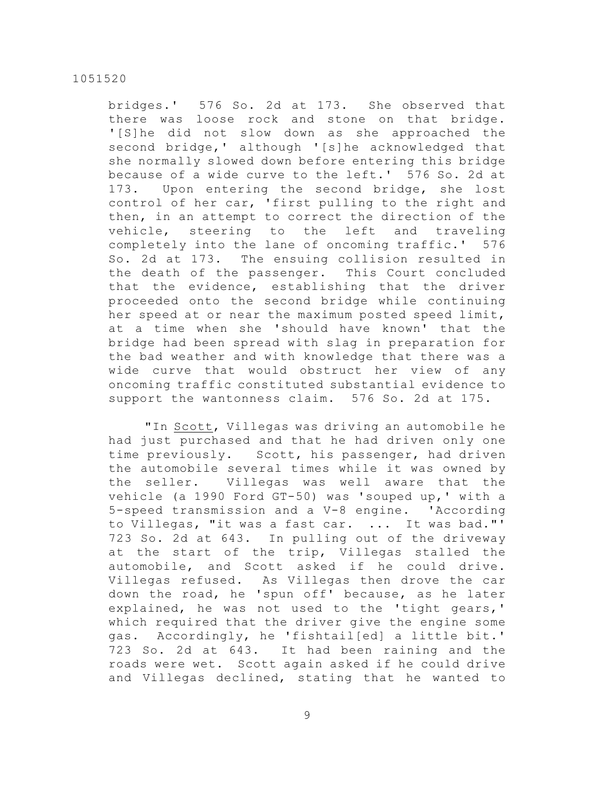bridges.' 576 So. 2d at 173. She observed that there was loose rock and stone on that bridge. '[S]he did not slow down as she approached the second bridge,' although '[s]he acknowledged that she normally slowed down before entering this bridge because of a wide curve to the left.' 576 So. 2d at 173. Upon entering the second bridge, she lost control of her car, 'first pulling to the right and then, in an attempt to correct the direction of the vehicle, steering to the left and traveling completely into the lane of oncoming traffic.' 576 So. 2d at 173. The ensuing collision resulted in the death of the passenger. This Court concluded that the evidence, establishing that the driver proceeded onto the second bridge while continuing her speed at or near the maximum posted speed limit, at a time when she 'should have known' that the bridge had been spread with slag in preparation for the bad weather and with knowledge that there was a wide curve that would obstruct her view of any oncoming traffic constituted substantial evidence to support the wantonness claim. 576 So. 2d at 175.

"In Scott, Villegas was driving an automobile he had just purchased and that he had driven only one time previously. Scott, his passenger, had driven the automobile several times while it was owned by the seller. Villegas was well aware that the vehicle (a 1990 Ford GT-50) was 'souped up,' with a 5-speed transmission and a V-8 engine. 'According to Villegas, "it was a fast car. ... It was bad."' 723 So. 2d at 643. In pulling out of the driveway at the start of the trip, Villegas stalled the automobile, and Scott asked if he could drive. Villegas refused. As Villegas then drove the car down the road, he 'spun off' because, as he later explained, he was not used to the 'tight gears,' which required that the driver give the engine some gas. Accordingly, he 'fishtail[ed] a little bit.' 723 So. 2d at 643. It had been raining and the roads were wet. Scott again asked if he could drive and Villegas declined, stating that he wanted to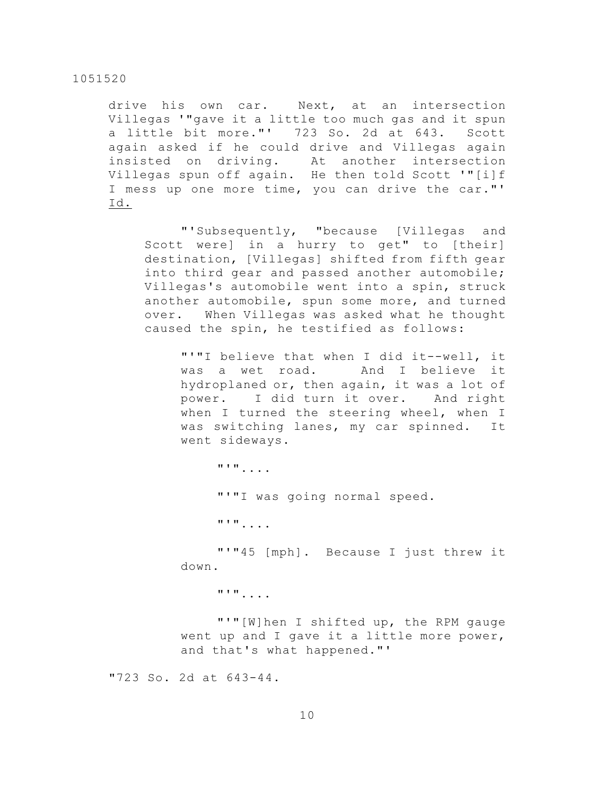drive his own car. Next, at an intersection Villegas '"gave it a little too much gas and it spun a little bit more."' 723 So. 2d at 643. Scott again asked if he could drive and Villegas again insisted on driving. At another intersection Villegas spun off again. He then told Scott '"[i]f I mess up one more time, you can drive the car."' Id.

"'Subsequently, "because [Villegas and Scott were] in a hurry to get" to [their] destination, [Villegas] shifted from fifth gear into third gear and passed another automobile; Villegas's automobile went into a spin, struck another automobile, spun some more, and turned over. When Villegas was asked what he thought caused the spin, he testified as follows:

"'"I believe that when I did it--well, it was a wet road. And I believe it hydroplaned or, then again, it was a lot of power. I did turn it over. And right when I turned the steering wheel, when I was switching lanes, my car spinned. It went sideways.

"'".... "'"I was going normal speed. "'".... "'"45 [mph]. Because I just threw it down. "'"....

"'"[W]hen I shifted up, the RPM gauge went up and I gave it a little more power, and that's what happened."'

"723 So. 2d at 643-44.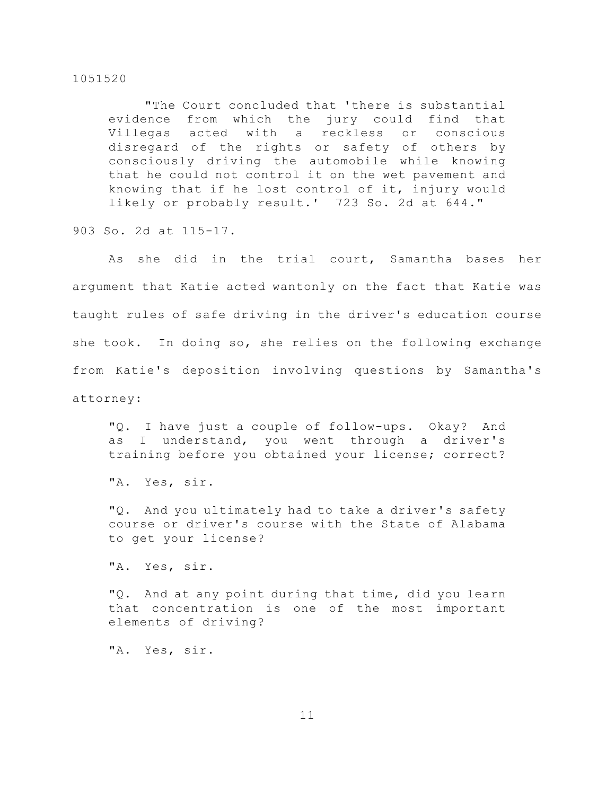"The Court concluded that 'there is substantial evidence from which the jury could find that Villegas acted with a reckless or conscious disregard of the rights or safety of others by consciously driving the automobile while knowing that he could not control it on the wet pavement and knowing that if he lost control of it, injury would likely or probably result.' 723 So. 2d at 644."

903 So. 2d at 115-17.

As she did in the trial court, Samantha bases her argument that Katie acted wantonly on the fact that Katie was taught rules of safe driving in the driver's education course she took. In doing so, she relies on the following exchange from Katie's deposition involving questions by Samantha's attorney:

"Q. I have just a couple of follow-ups. Okay? And as I understand, you went through a driver's training before you obtained your license; correct?

"A. Yes, sir.

"Q. And you ultimately had to take a driver's safety course or driver's course with the State of Alabama to get your license?

"A. Yes, sir.

"Q. And at any point during that time, did you learn that concentration is one of the most important elements of driving?

"A. Yes, sir.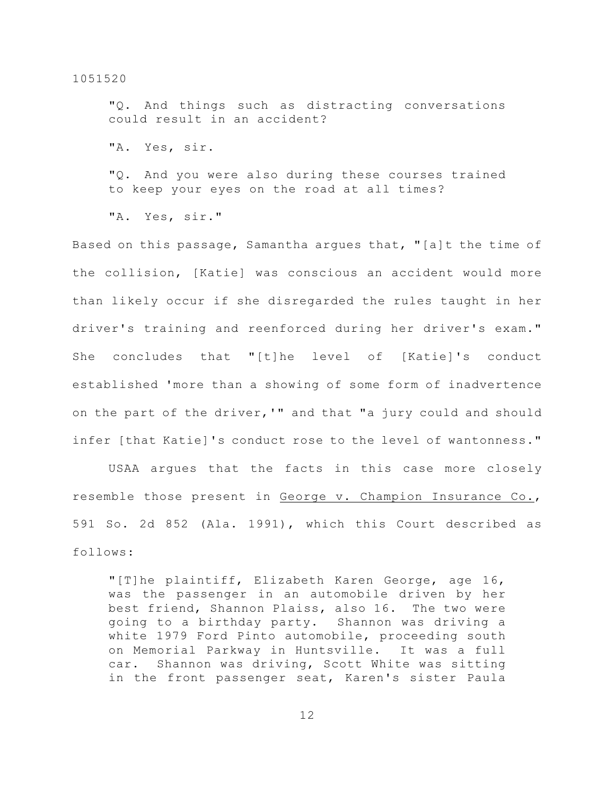"Q. And things such as distracting conversations could result in an accident?

"A. Yes, sir.

"Q. And you were also during these courses trained to keep your eyes on the road at all times?

"A. Yes, sir."

Based on this passage, Samantha argues that, "[a]t the time of the collision, [Katie] was conscious an accident would more than likely occur if she disregarded the rules taught in her driver's training and reenforced during her driver's exam." She concludes that "[t]he level of [Katie]'s conduct established 'more than a showing of some form of inadvertence on the part of the driver,'" and that "a jury could and should infer [that Katie]'s conduct rose to the level of wantonness."

USAA argues that the facts in this case more closely resemble those present in George v. Champion Insurance Co., 591 So. 2d 852 (Ala. 1991), which this Court described as follows:

"[T]he plaintiff, Elizabeth Karen George, age 16, was the passenger in an automobile driven by her best friend, Shannon Plaiss, also 16. The two were going to a birthday party. Shannon was driving a white 1979 Ford Pinto automobile, proceeding south on Memorial Parkway in Huntsville. It was a full car. Shannon was driving, Scott White was sitting in the front passenger seat, Karen's sister Paula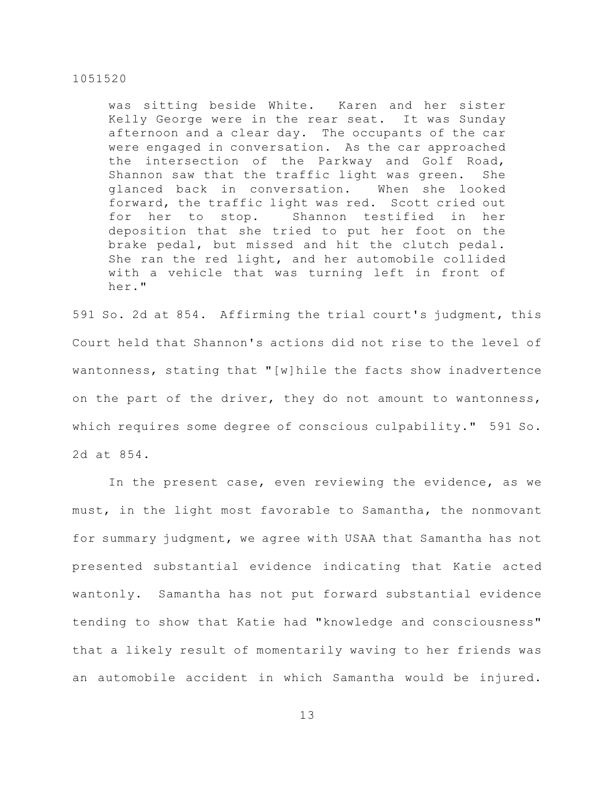was sitting beside White. Karen and her sister Kelly George were in the rear seat. It was Sunday afternoon and a clear day. The occupants of the car were engaged in conversation. As the car approached the intersection of the Parkway and Golf Road, Shannon saw that the traffic light was green. She glanced back in conversation. When she looked forward, the traffic light was red. Scott cried out for her to stop. Shannon testified in her deposition that she tried to put her foot on the brake pedal, but missed and hit the clutch pedal. She ran the red light, and her automobile collided with a vehicle that was turning left in front of her."

591 So. 2d at 854. Affirming the trial court's judgment, this Court held that Shannon's actions did not rise to the level of wantonness, stating that "[w]hile the facts show inadvertence on the part of the driver, they do not amount to wantonness, which requires some degree of conscious culpability." 591 So. 2d at 854.

In the present case, even reviewing the evidence, as we must, in the light most favorable to Samantha, the nonmovant for summary judgment, we agree with USAA that Samantha has not presented substantial evidence indicating that Katie acted wantonly. Samantha has not put forward substantial evidence tending to show that Katie had "knowledge and consciousness" that a likely result of momentarily waving to her friends was an automobile accident in which Samantha would be injured.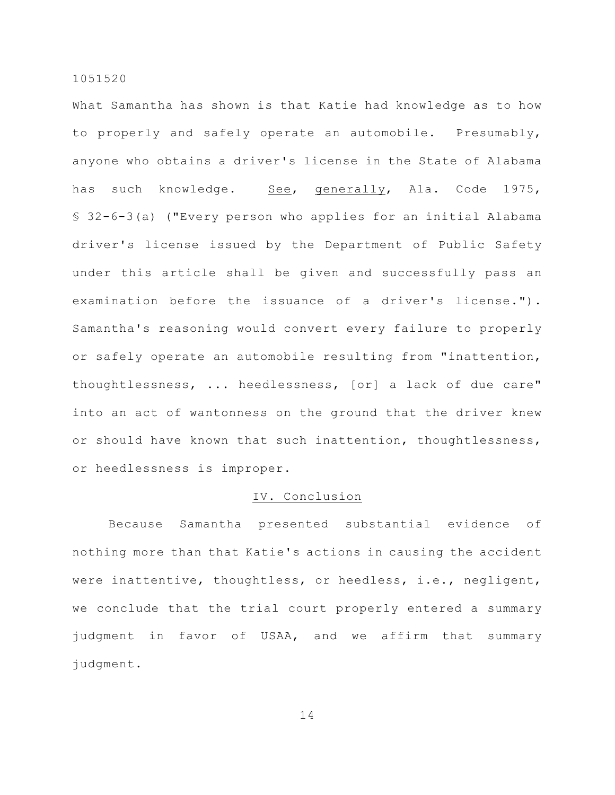What Samantha has shown is that Katie had knowledge as to how to properly and safely operate an automobile. Presumably, anyone who obtains a driver's license in the State of Alabama has such knowledge. See, generally, Ala. Code 1975, § 32-6-3(a) ("Every person who applies for an initial Alabama driver's license issued by the Department of Public Safety under this article shall be given and successfully pass an examination before the issuance of a driver's license."). Samantha's reasoning would convert every failure to properly or safely operate an automobile resulting from "inattention, thoughtlessness, ... heedlessness, [or] a lack of due care" into an act of wantonness on the ground that the driver knew or should have known that such inattention, thoughtlessness, or heedlessness is improper.

# IV. Conclusion

Because Samantha presented substantial evidence of nothing more than that Katie's actions in causing the accident were inattentive, thoughtless, or heedless, i.e., negligent, we conclude that the trial court properly entered a summary judgment in favor of USAA, and we affirm that summary judgment.